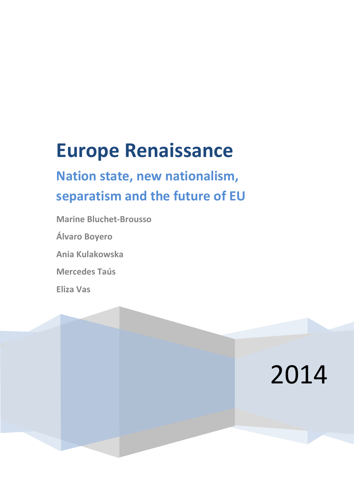# **Europe Renaissance**

## **Nation state, new nationalism, separatism and the future of EU**

2014

**Marine Bluchet-Brousso**

**Álvaro Boyero**

**Ania Kulakowska**

**Mercedes Taús**

**Eliza Vas**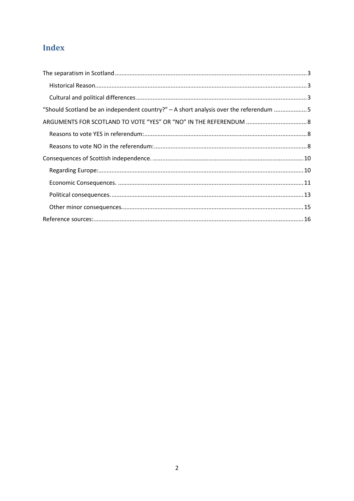## Index

| "Should Scotland be an independent country?" $-$ A short analysis over the referendum 5 |  |
|-----------------------------------------------------------------------------------------|--|
|                                                                                         |  |
|                                                                                         |  |
|                                                                                         |  |
|                                                                                         |  |
|                                                                                         |  |
|                                                                                         |  |
|                                                                                         |  |
|                                                                                         |  |
|                                                                                         |  |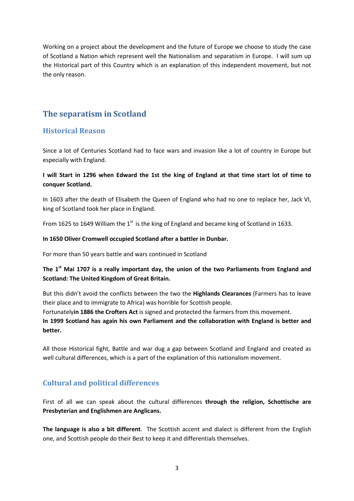Working on a project about the development and the future of Europe we choose to study the case of Scotland a Nation which represent well the Nationalism and separatism in Europe. I will sum up the Historical part of this Country which is an explanation of this independent movement, but not the only reason.

## <span id="page-2-0"></span>**The separatism in Scotland**

## <span id="page-2-1"></span>**Historical Reason**

Since a lot of Centuries Scotland had to face wars and invasion like a lot of country in Europe but especially with England.

#### **I will Start in 1296 when Edward the 1st the king of England at that time start lot of time to conquer Scotland.**

In 1603 after the death of Elisabeth the Queen of England who had no one to replace her, Jack VI, king of Scotland took her place in England.

From 1625 to 1649 William the  $1<sup>st</sup>$  is the king of England and became king of Scotland in 1633.

#### **In 1650 Oliver Cromwell occupied Scotland after a battler in Dunbar.**

For more than 50 years battle and wars continued in Scotland

## **The 1st Mai 1707 is a really important day, the union of the two Parliaments from England and Scotland: The United Kingdom of Great Britain.**

But this didn't avoid the conflicts between the two the **Highlands Clearances** (Farmers has to leave their place and to immigrate to Africa) was horrible for Scottish people.

Fortunately**in 1886 the Crofters Act** is signed and protected the farmers from this movement. **In 1999 Scotland has again his own Parliament and the collaboration with England is better and better.** 

All those Historical fight, Battle and war dug a gap between Scotland and England and created as well cultural differences, which is a part of the explanation of this nationalism movement.

## <span id="page-2-2"></span>**Cultural and political differences**

First of all we can speak about the cultural differences **through the religion, Schottische are Presbyterian and Englishmen are Anglicans.** 

**The language is also a bit different**. The Scottish accent and dialect is different from the English one, and Scottish people do their Best to keep it and differentials themselves.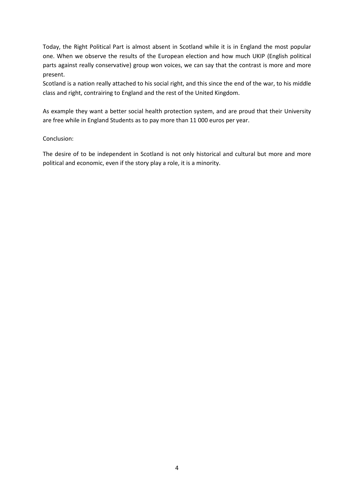Today, the Right Political Part is almost absent in Scotland while it is in England the most popular one. When we observe the results of the European election and how much UKIP (English political parts against really conservative) group won voices, we can say that the contrast is more and more present.

Scotland is a nation really attached to his social right, and this since the end of the war, to his middle class and right, contrairing to England and the rest of the United Kingdom.

As example they want a better social health protection system, and are proud that their University are free while in England Students as to pay more than 11 000 euros per year.

#### Conclusion:

The desire of to be independent in Scotland is not only historical and cultural but more and more political and economic, even if the story play a role, it is a minority.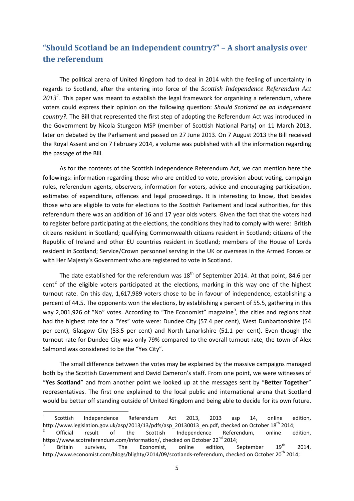## <span id="page-4-0"></span>**"Should Scotland be an independent country?" – A short analysis over the referendum**

The political arena of United Kingdom had to deal in 2014 with the feeling of uncertainty in regards to Scotland, after the entering into force of the *Scottish Independence Referendum Act 2013[1](#page-4-1)* . This paper was meant to establish the legal framework for organising a referendum, where voters could express their opinion on the following question: *Should Scotland be an independent country?*. The Bill that represented the first step of adopting the Referendum Act was introduced in the Government by Nicola Sturgeon MSP (member of Scottish National Party) on 11 March 2013, later on debated by the Parliament and passed on 27 June 2013. On 7 August 2013 the Bill received the Royal Assent and on 7 February 2014, a volume was published with all the information regarding the passage of the Bill.

As for the contents of the Scottish Independence Referendum Act, we can mention here the followings: information regarding those who are entitled to vote, provision about voting, campaign rules, referendum agents, observers, information for voters, advice and encouraging participation, estimates of expenditure, offences and legal proceedings. It is interesting to know, that besides those who are eligible to vote for elections to the Scottish Parliament and local authorities, for this referendum there was an addition of 16 and 17 year olds voters. Given the fact that the voters had to register before participating at the elections, the conditions they had to comply with were: British citizens resident in Scotland; qualifying Commonwealth citizens resident in Scotland; citizens of the Republic of Ireland and other EU countries resident in Scotland; members of the House of Lords resident in Scotland; Service/Crown personnel serving in the UK or overseas in the Armed Forces or with Her Majesty's Government who are registered to vote in Scotland.

The date established for the referendum was  $18<sup>th</sup>$  of September 2014. At that point, 84.6 per cent<sup>[2](#page-4-2)</sup> of the eligible voters participated at the elections, marking in this way one of the highest turnout rate. On this day, 1,617,989 voters chose to be in favour of independence, establishing a percent of 44.5. The opponents won the elections, by establishing a percent of 55.5, gathering in this way 2,001,926 of "No" votes. According to "The Economist" magazine<sup>[3](#page-4-3)</sup>, the cities and regions that had the highest rate for a "Yes" vote were: Dundee City (57.4 per cent), West Dunbartonshire (54 per cent), Glasgow City (53.5 per cent) and North Lanarkshire (51.1 per cent). Even though the turnout rate for Dundee City was only 79% compared to the overall turnout rate, the town of Alex Salmond was considered to be the "Yes City".

The small difference between the votes may be explained by the massive campaigns managed both by the Scottish Government and David Cameron's staff. From one point, we were witnesses of "**Yes Scotland**" and from another point we looked up at the messages sent by "**Better Together**" representatives. The first one explained to the local public and international arena that Scotland would be better off standing outside of United Kingdom and being able to decide for its own future.

<span id="page-4-1"></span> <sup>1</sup> Scottish Independence Referendum Act 2013, 2013 asp 14, online edition, http://www.legislation.gov.uk/asp/2013/13/pdfs/asp\_20130013\_en.pdf, checked on October 18<sup>th</sup> 2014;<br><sup>2</sup> Official result of the Scottish Independence Referendum, online edition,

<span id="page-4-2"></span>https://www.scotreferendum.com/information/, checked on October 22<sup>nd</sup> 2014;<br><sup>3</sup> Britain survives, The Economist, online edition, September 19<sup>th</sup> 2014,

<span id="page-4-3"></span>http://www.economist.com/blogs/blighty/2014/09/scotlands-referendum, checked on October 20<sup>th</sup> 2014;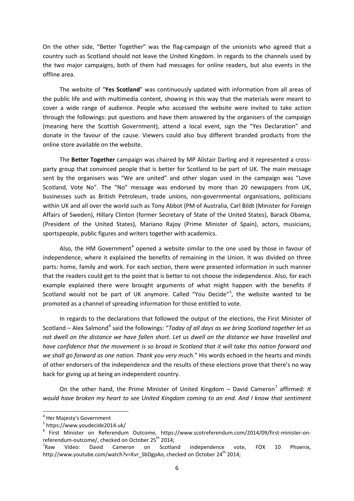On the other side, "Better Together" was the flag-campaign of the unionists who agreed that a country such as Scotland should not leave the United Kingdom. In regards to the channels used by the two major campaigns, both of them had messages for online readers, but also events in the offline area.

The website of "**Yes Scotland**" was continuously updated with information from all areas of the public life and with multimedia content, showing in this way that the materials were meant to cover a wide range of audience. People who accessed the website were invited to take action through the followings: put questions and have them answered by the organisers of the campaign (meaning here the Scottish Government), attend a local event, sign the "Yes Declaration" and donate in the favour of the cause. Viewers could also buy different branded products from the online store available on the website.

The **Better Together** campaign was chaired by MP Alistair Darling and it represented a crossparty group that convinced people that is better for Scotland to be part of UK. The main message sent by the organisers was "We are united" and other slogan used in the campaign was "Love Scotland, Vote No". The "No" message was endorsed by more than 20 newspapers from UK, businesses such as British Petroleum, trade unions, non-governmental organisations, politicians within UK and all over the world such as Tony Abbot (PM of Australia, Carl Bildt (Minister for Foreign Affairs of Sweden), Hillary Clinton (former Secretary of State of the United States), Barack Obama, (President of the United States), Mariano Rajoy (Prime Minister of Spain), actors, musicians, sportspeople, public figures and writers together with academics.

Also, the HM Government<sup>[4](#page-5-0)</sup> opened a website similar to the one used by those in favour of independence, where it explained the benefits of remaining in the Union. It was divided on three parts: home, family and work. For each section, there were presented information in such manner that the readers could get to the point that is better to not choose the independence. Also, for each example explained there were brought arguments of what might happen with the benefits if Scotland would not be part of UK anymore. Called "You Decide"<sup>[5](#page-5-1)</sup>, the website wanted to be promoted as a channel of spreading information for those entitled to vote.

In regards to the declarations that followed the output of the elections, the First Minister of Scotland – Alex Salmond<sup>[6](#page-5-2)</sup> said the followings: "*Today of all days as we bring Scotland together let us not dwell on the distance we have fallen short. Let us dwell on the distance we have travelled and have confidence that the movement is so broad in Scotland that it will take this nation forward and we shall go forward as one nation. Thank you very much.*" His words echoed in the hearts and minds of other endorsers of the independence and the results of these elections prove that there's no way back for giving up at being an independent country.

On the other hand, the Prime Minister of United Kingdom - David Cameron<sup>[7](#page-5-3)</sup> affirmed: It *would have broken my heart to see United Kingdom coming to an end. And I know that sentiment* 

<span id="page-5-0"></span> <sup>4</sup> Her Majesty's Government

<span id="page-5-1"></span><sup>5</sup> https://www.youdecide2014.uk/

<span id="page-5-2"></span><sup>6</sup> First Minister on Referendum Outcome, https://www.scotreferendum.com/2014/09/first-minister-onreferendum-outcome/, checked on October 25<sup>th</sup> 2014;<br><sup>7</sup>Raw Video: David Cameron on Scotlar

<span id="page-5-3"></span>on Scotland independence vote, FOX 10 Phoenix, http://www.youtube.com/watch?v=Kvr\_SbDgpAo, checked on October 24<sup>th</sup> 2014;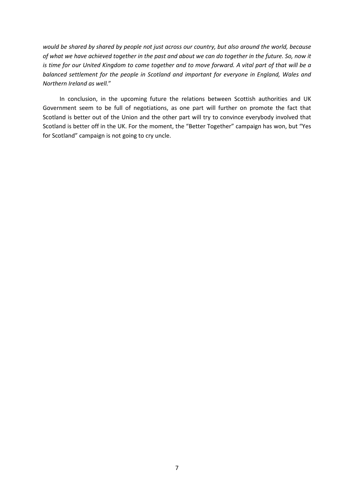*would be shared by shared by people not just across our country, but also around the world, because of what we have achieved together in the past and about we can do together in the future. So, now it is time for our United Kingdom to come together and to move forward. A vital part of that will be a balanced settlement for the people in Scotland and important for everyone in England, Wales and Northern Ireland as well.*"

In conclusion, in the upcoming future the relations between Scottish authorities and UK Government seem to be full of negotiations, as one part will further on promote the fact that Scotland is better out of the Union and the other part will try to convince everybody involved that Scotland is better off in the UK. For the moment, the "Better Together" campaign has won, but "Yes for Scotland" campaign is not going to cry uncle.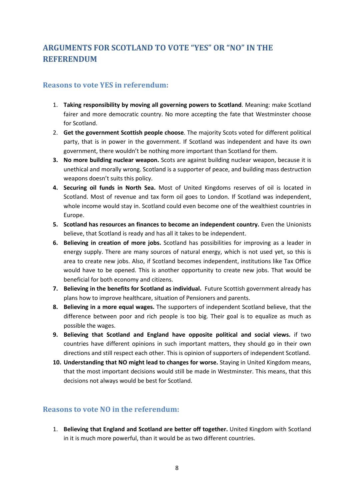## <span id="page-7-0"></span>**ARGUMENTS FOR SCOTLAND TO VOTE "YES" OR "NO" IN THE REFERENDUM**

## <span id="page-7-1"></span>**Reasons to vote YES in referendum:**

- 1. **Taking responsibility by moving all governing powers to Scotland**. Meaning: make Scotland fairer and more democratic country. No more accepting the fate that Westminster choose for Scotland.
- 2. **Get the government Scottish people choose**. The majority Scots voted for different political party, that is in power in the government. If Scotland was independent and have its own government, there wouldn't be nothing more important than Scotland for them.
- **3. No more building nuclear weapon.** Scots are against building nuclear weapon, because it is unethical and morally wrong. Scotland is a supporter of peace, and building mass destruction weapons doesn't suits this policy.
- **4. Securing oil funds in North Sea.** Most of United Kingdoms reserves of oil is located in Scotland. Most of revenue and tax form oil goes to London. If Scotland was independent, whole income would stay in. Scotland could even become one of the wealthiest countries in Europe.
- **5. Scotland has resources an finances to become an independent country.** Even the Unionists believe, that Scotland is ready and has all it takes to be independent.
- **6. Believing in creation of more jobs.** Scotland has possibilities for improving as a leader in energy supply. There are many sources of natural energy, which is not used yet, so this is area to create new jobs. Also, if Scotland becomes independent, institutions like Tax Office would have to be opened. This is another opportunity to create new jobs. That would be beneficial for both economy and citizens.
- **7. Believing in the benefits for Scotland as individual.** Future Scottish government already has plans how to improve healthcare, situation of Pensioners and parents.
- **8. Believing in a more equal wages.** The supporters of independent Scotland believe, that the difference between poor and rich people is too big. Their goal is to equalize as much as possible the wages.
- **9. Believing that Scotland and England have opposite political and social views.** if two countries have different opinions in such important matters, they should go in their own directions and still respect each other. This is opinion of supporters of independent Scotland.
- **10. Understanding that NO might lead to changes for worse.** Staying in United Kingdom means, that the most important decisions would still be made in Westminster. This means, that this decisions not always would be best for Scotland.

### <span id="page-7-2"></span>**Reasons to vote NO in the referendum:**

1. **Believing that England and Scotland are better off together.** United Kingdom with Scotland in it is much more powerful, than it would be as two different countries.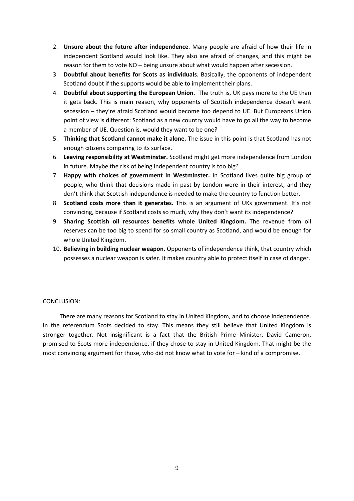- 2. **Unsure about the future after independence**. Many people are afraid of how their life in independent Scotland would look like. They also are afraid of changes, and this might be reason for them to vote NO – being unsure about what would happen after secession.
- 3. **Doubtful about benefits for Scots as individuals**. Basically, the opponents of independent Scotland doubt if the supports would be able to implement their plans.
- 4. **Doubtful about supporting the European Union.** The truth is, UK pays more to the UE than it gets back. This is main reason, why opponents of Scottish independence doesn't want secession – they're afraid Scotland would become too depend to UE. But Europeans Union point of view is different: Scotland as a new country would have to go all the way to become a member of UE. Question is, would they want to be one?
- 5. **Thinking that Scotland cannot make it alone.** The issue in this point is that Scotland has not enough citizens comparing to its surface.
- 6. **Leaving responsibility at Westminster.** Scotland might get more independence from London in future. Maybe the risk of being independent country is too big?
- 7. **Happy with choices of government in Westminster.** In Scotland lives quite big group of people, who think that decisions made in past by London were in their interest, and they don't think that Scottish independence is needed to make the country to function better.
- 8. **Scotland costs more than it generates.** This is an argument of UKs government. It's not convincing, because if Scotland costs so much, why they don't want its independence?
- 9. **Sharing Scottish oil resources benefits whole United Kingdom.** The revenue from oil reserves can be too big to spend for so small country as Scotland, and would be enough for whole United Kingdom.
- 10. **Believing in building nuclear weapon.** Opponents of independence think, that country which possesses a nuclear weapon is safer. It makes country able to protect itself in case of danger.

#### CONCLUSION:

There are many reasons for Scotland to stay in United Kingdom, and to choose independence. In the referendum Scots decided to stay. This means they still believe that United Kingdom is stronger together. Not insignificant is a fact that the British Prime Minister, David Cameron, promised to Scots more independence, if they chose to stay in United Kingdom. That might be the most convincing argument for those, who did not know what to vote for – kind of a compromise.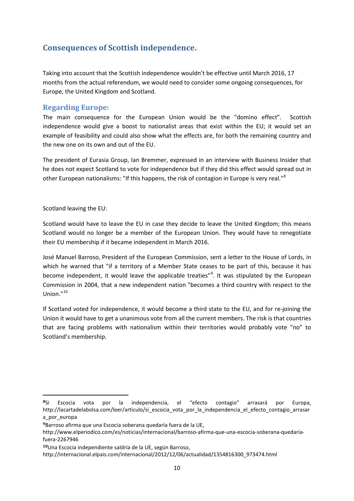## <span id="page-9-0"></span>**Consequences of Scottish independence.**

Taking into account that the Scottish independence wouldn't be effective until March 2016, 17 months from the actual referendum, we would need to consider some ongoing consequences, for Europe, the United Kingdom and Scotland.

## <span id="page-9-1"></span>**Regarding Europe:**

The main consequence for the European Union would be the "domino effect". Scottish independence would give a boost to nationalist areas that exist within the EU; it would set an example of feasibility and could also show what the effects are, for both the remaining country and the new one on its own and out of the EU.

The president of Eurasia Group, Ian Bremmer, expressed in an interview with Business Insider that he does not expect Scotland to vote for independence but if they did this effect would spread out in other European nationalisms: "If this happens, the risk of contagion in Europe is very real."<sup>[8](#page-9-2)</sup>

Scotland leaving the EU:

**.** 

Scotland would have to leave the EU in case they decide to leave the United Kingdom; this means Scotland would no longer be a member of the European Union. They would have to renegotiate their EU membership if it became independent in March 2016.

José Manuel Barroso, President of the European Commission, sent a letter to the House of Lords, in which he warned that "if a territory of a Member State ceases to be part of this, because it has become independent, it would leave the applicable treaties"<sup>[9](#page-9-3)</sup>. It was stipulated by the European Commission in 2004, that a new independent nation "becomes a third country with respect to the  $Union.<sup>n10</sup>$  $Union.<sup>n10</sup>$  $Union.<sup>n10</sup>$ 

If Scotland voted for independence, it would become a third state to the EU, and for re-joining the Union it would have to get a unanimous vote from all the current members. The risk is that countries that are facing problems with nationalism within their territories would probably vote "no" to Scotland's membership.

<span id="page-9-2"></span>**<sup>8</sup>**Si Escocia vota por la independencia, el "efecto contagio" arrasará por Europa, [http://lacartadelabolsa.com/leer/articulo/si\\_escocia\\_vota\\_por\\_la\\_independencia\\_el\\_efecto\\_contagio\\_arrasar](http://lacartadelabolsa.com/leer/articulo/si_escocia_vota_por_la_independencia_el_efecto_contagio_arrasara_por_europa) a por europa

<span id="page-9-3"></span>**<sup>9</sup>**Barroso afirma que una Escocia soberana quedaría fuera de la UE,

[http://www.elperiodico.com/es/noticias/internacional/barroso-afirma-que-una-escocia-soberana-quedaria](http://www.elperiodico.com/es/noticias/internacional/barroso-afirma-que-una-escocia-soberana-quedaria-fuera-2267946)[fuera-2267946](http://www.elperiodico.com/es/noticias/internacional/barroso-afirma-que-una-escocia-soberana-quedaria-fuera-2267946)

<span id="page-9-4"></span>**<sup>10</sup>**Una Escocia independiente saldría de la UE, según Barroso,

[http://internacional.elpais.com/internacional/2012/12/06/actualidad/1354816300\\_973474.html](http://internacional.elpais.com/internacional/2012/12/06/actualidad/1354816300_973474.html)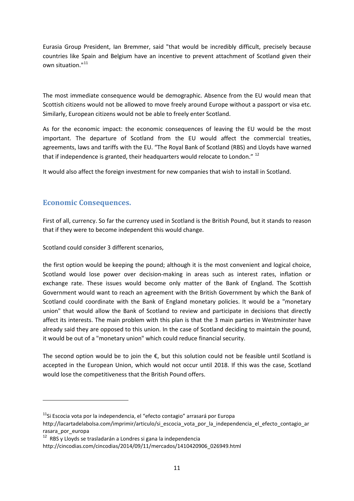Eurasia Group President, Ian Bremmer, said "that would be incredibly difficult, precisely because countries like Spain and Belgium have an incentive to prevent attachment of Scotland given their own situation."<sup>[11](#page-10-1)</sup>

The most immediate consequence would be demographic. Absence from the EU would mean that Scottish citizens would not be allowed to move freely around Europe without a passport or visa etc. Similarly, European citizens would not be able to freely enter Scotland.

As for the economic impact: the economic consequences of leaving the EU would be the most important. The departure of Scotland from the EU would affect the commercial treaties, agreements, laws and tariffs with the EU. "The Royal Bank of Scotland (RBS) and Lloyds have warned that if independence is granted, their headquarters would relocate to London." <sup>[12](#page-10-2)</sup>

It would also affect the foreign investment for new companies that wish to install in Scotland.

## <span id="page-10-0"></span>**Economic Consequences.**

**.** 

First of all, currency. So far the currency used in Scotland is the British Pound, but it stands to reason that if they were to become independent this would change.

Scotland could consider 3 different scenarios,

the first option would be keeping the pound; although it is the most convenient and logical choice, Scotland would lose power over decision-making in areas such as interest rates, inflation or exchange rate. These issues would become only matter of the Bank of England. The Scottish Government would want to reach an agreement with the British Government by which the Bank of Scotland could coordinate with the Bank of England monetary policies. It would be a "monetary union" that would allow the Bank of Scotland to review and participate in decisions that directly affect its interests. The main problem with this plan is that the 3 main parties in Westminster have already said they are opposed to this union. In the case of Scotland deciding to maintain the pound, it would be out of a "monetary union" which could reduce financial security.

The second option would be to join the €, but this solution could not be feasible until Scotland is accepted in the European Union, which would not occur until 2018. If this was the case, Scotland would lose the competitiveness that the British Pound offers.

<span id="page-10-1"></span> $11$ Si Escocia vota por la independencia, el "efecto contagio" arrasará por Europa

[http://lacartadelabolsa.com/imprimir/articulo/si\\_escocia\\_vota\\_por\\_la\\_independencia\\_el\\_efecto\\_contagio\\_ar](http://lacartadelabolsa.com/imprimir/articulo/si_escocia_vota_por_la_independencia_el_efecto_contagio_arrasara_por_europa) [rasara\\_por\\_europa](http://lacartadelabolsa.com/imprimir/articulo/si_escocia_vota_por_la_independencia_el_efecto_contagio_arrasara_por_europa)

<span id="page-10-2"></span><sup>&</sup>lt;sup>12</sup> RBS y Lloyds se trasladarán a Londres si gana la independencia

[http://cincodias.com/cincodias/2014/09/11/mercados/1410420906\\_026949.html](http://cincodias.com/cincodias/2014/09/11/mercados/1410420906_026949.html)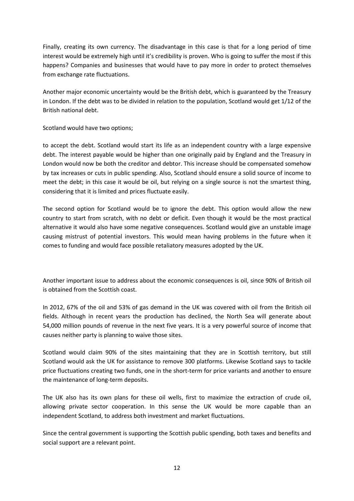Finally, creating its own currency. The disadvantage in this case is that for a long period of time interest would be extremely high until it's credibility is proven. Who is going to suffer the most if this happens? Companies and businesses that would have to pay more in order to protect themselves from exchange rate fluctuations.

Another major economic uncertainty would be the British debt, which is guaranteed by the Treasury in London. If the debt was to be divided in relation to the population, Scotland would get 1/12 of the British national debt.

Scotland would have two options;

to accept the debt. Scotland would start its life as an independent country with a large expensive debt. The interest payable would be higher than one originally paid by England and the Treasury in London would now be both the creditor and debtor. This increase should be compensated somehow by tax increases or cuts in public spending. Also, Scotland should ensure a solid source of income to meet the debt; in this case it would be oil, but relying on a single source is not the smartest thing, considering that it is limited and prices fluctuate easily.

The second option for Scotland would be to ignore the debt. This option would allow the new country to start from scratch, with no debt or deficit. Even though it would be the most practical alternative it would also have some negative consequences. Scotland would give an unstable image causing mistrust of potential investors. This would mean having problems in the future when it comes to funding and would face possible retaliatory measures adopted by the UK.

Another important issue to address about the economic consequences is oil, since 90% of British oil is obtained from the Scottish coast.

In 2012, 67% of the oil and 53% of gas demand in the UK was covered with oil from the British oil fields. Although in recent years the production has declined, the North Sea will generate about 54,000 million pounds of revenue in the next five years. It is a very powerful source of income that causes neither party is planning to waive those sites.

Scotland would claim 90% of the sites maintaining that they are in Scottish territory, but still Scotland would ask the UK for assistance to remove 300 platforms. Likewise Scotland says to tackle price fluctuations creating two funds, one in the short-term for price variants and another to ensure the maintenance of long-term deposits.

The UK also has its own plans for these oil wells, first to maximize the extraction of crude oil, allowing private sector cooperation. In this sense the UK would be more capable than an independent Scotland, to address both investment and market fluctuations.

Since the central government is supporting the Scottish public spending, both taxes and benefits and social support are a relevant point.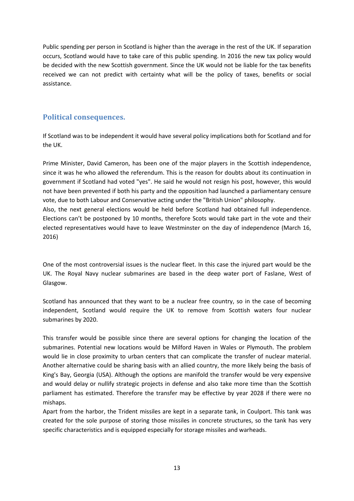Public spending per person in Scotland is higher than the average in the rest of the UK. If separation occurs, Scotland would have to take care of this public spending. In 2016 the new tax policy would be decided with the new Scottish government. Since the UK would not be liable for the tax benefits received we can not predict with certainty what will be the policy of taxes, benefits or social assistance.

## <span id="page-12-0"></span>**Political consequences.**

If Scotland was to be independent it would have several policy implications both for Scotland and for the UK.

Prime Minister, David Cameron, has been one of the major players in the Scottish independence, since it was he who allowed the referendum. This is the reason for doubts about its continuation in government if Scotland had voted "yes". He said he would not resign his post, however, this would not have been prevented if both his party and the opposition had launched a parliamentary censure vote, due to both Labour and Conservative acting under the "British Union" philosophy. Also, the next general elections would be held before Scotland had obtained full independence. Elections can't be postponed by 10 months, therefore Scots would take part in the vote and their elected representatives would have to leave Westminster on the day of independence (March 16, 2016)

One of the most controversial issues is the nuclear fleet. In this case the injured part would be the UK. The Royal Navy nuclear submarines are based in the deep water port of Faslane, West of Glasgow.

Scotland has announced that they want to be a nuclear free country, so in the case of becoming independent, Scotland would require the UK to remove from Scottish waters four nuclear submarines by 2020.

This transfer would be possible since there are several options for changing the location of the submarines. Potential new locations would be Milford Haven in Wales or Plymouth. The problem would lie in close proximity to urban centers that can complicate the transfer of nuclear material. Another alternative could be sharing basis with an allied country, the more likely being the basis of King's Bay, Georgia (USA). Although the options are manifold the transfer would be very expensive and would delay or nullify strategic projects in defense and also take more time than the Scottish parliament has estimated. Therefore the transfer may be effective by year 2028 if there were no mishaps.

Apart from the harbor, the Trident missiles are kept in a separate tank, in Coulport. This tank was created for the sole purpose of storing those missiles in concrete structures, so the tank has very specific characteristics and is equipped especially for storage missiles and warheads.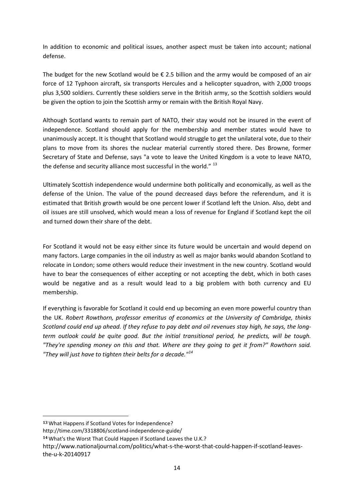In addition to economic and political issues, another aspect must be taken into account; national defense.

The budget for the new Scotland would be  $\epsilon$  2.5 billion and the army would be composed of an air force of 12 Typhoon aircraft, six transports Hercules and a helicopter squadron, with 2,000 troops plus 3,500 soldiers. Currently these soldiers serve in the British army, so the Scottish soldiers would be given the option to join the Scottish army or remain with the British Royal Navy.

Although Scotland wants to remain part of NATO, their stay would not be insured in the event of independence. Scotland should apply for the membership and member states would have to unanimously accept. It is thought that Scotland would struggle to get the unilateral vote, due to their plans to move from its shores the nuclear material currently stored there. Des Browne, former Secretary of State and Defense, says "a vote to leave the United Kingdom is a vote to leave NATO, the defense and security alliance most successful in the world." [13](#page-13-0)

Ultimately Scottish independence would undermine both politically and economically, as well as the defense of the Union. The value of the pound decreased days before the referendum, and it is estimated that British growth would be one percent lower if Scotland left the Union. Also, debt and oil issues are still unsolved, which would mean a loss of revenue for England if Scotland kept the oil and turned down their share of the debt.

For Scotland it would not be easy either since its future would be uncertain and would depend on many factors. Large companies in the oil industry as well as major banks would abandon Scotland to relocate in London; some others would reduce their investment in the new country. Scotland would have to bear the consequences of either accepting or not accepting the debt, which in both cases would be negative and as a result would lead to a big problem with both currency and EU membership.

If everything is favorable for Scotland it could end up becoming an even more powerful country than the UK. *Robert Rowthorn, professor emeritus of economics at the University of Cambridge, thinks Scotland could end up ahead. If they refuse to pay debt and oil revenues stay high, he says, the longterm outlook could be quite good. But the initial transitional period, he predicts, will be tough. "They're spending money on this and that. Where are they going to get it from?" Rowthorn said. "They will just have to tighten their belts for a decade." [14](#page-13-1)*

 $\overline{\phantom{a}}$ 

<span id="page-13-0"></span>**<sup>13</sup>** What Happens if Scotland Votes for Independence?

<http://time.com/3318806/scotland-independence-guide/>

<span id="page-13-1"></span>**<sup>14</sup>** What's the Worst That Could Happen if Scotland Leaves the U.K.?

[http://www.nationaljournal.com/politics/what-s-the-worst-that-could-happen-if-scotland-leaves](http://www.nationaljournal.com/politics/what-s-the-worst-that-could-happen-if-scotland-leaves-the-u-k-20140917)[the-u-k-20140917](http://www.nationaljournal.com/politics/what-s-the-worst-that-could-happen-if-scotland-leaves-the-u-k-20140917)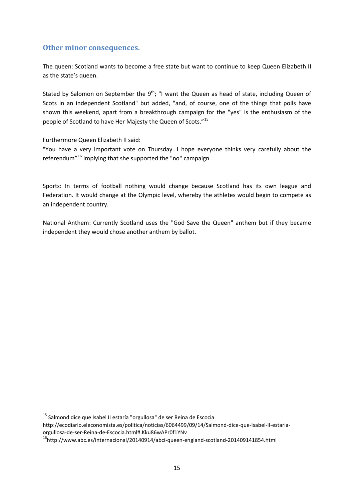#### <span id="page-14-0"></span>**Other minor consequences.**

The queen: Scotland wants to become a free state but want to continue to keep Queen Elizabeth II as the state's queen.

Stated by Salomon on September the  $9<sup>th</sup>$ ; "I want the Queen as head of state, including Queen of Scots in an independent Scotland" but added, "and, of course, one of the things that polls have shown this weekend, apart from a breakthrough campaign for the "yes" is the enthusiasm of the people of Scotland to have Her Majesty the Queen of Scots."[15](#page-14-1)

Furthermore Queen Elizabeth II said:

"You have a very important vote on Thursday. I hope everyone thinks very carefully about the referendum"<sup>[16](#page-14-2)</sup> Implying that she supported the "no" campaign.

Sports: In terms of football nothing would change because Scotland has its own league and Federation. It would change at the Olympic level, whereby the athletes would begin to compete as an independent country.

National Anthem: Currently Scotland uses the "God Save the Queen" anthem but if they became independent they would chose another anthem by ballot.

<span id="page-14-1"></span><sup>&</sup>lt;sup>15</sup> Salmond dice que Isabel II estaría "orgullosa" de ser Reina de Escocia

[http://ecodiario.eleconomista.es/politica/noticias/6064499/09/14/Salmond-dice-que-Isabel-II-estaria](http://ecodiario.eleconomista.es/politica/noticias/6064499/09/14/Salmond-dice-que-Isabel-II-estaria-orgullosa-de-ser-Reina-de-Escocia.html#.Kku86wAPr0f1YNv)[orgullosa-de-ser-Reina-de-Escocia.html#.Kku86wAPr0f1YNv](http://ecodiario.eleconomista.es/politica/noticias/6064499/09/14/Salmond-dice-que-Isabel-II-estaria-orgullosa-de-ser-Reina-de-Escocia.html#.Kku86wAPr0f1YNv)

<span id="page-14-2"></span>[<sup>16</sup>http://www.abc.es/internacional/20140914/abci-queen-england-scotland-201409141854.html](http://www.abc.es/internacional/20140914/abci-queen-england-scotland-201409141854.html)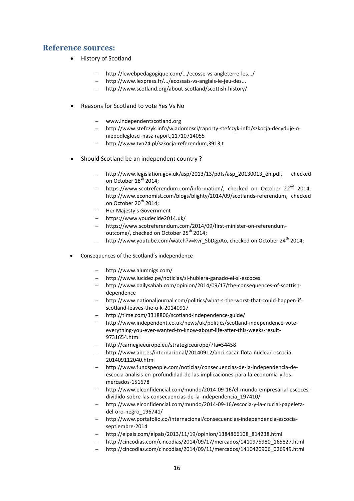## <span id="page-15-0"></span>**Reference sources:**

- History of Scotland
	- − [http://lewebpedagogique.com/.../ecosse-vs-angleterre-les.../](http://lewebpedagogique.com/bsentier/ecosse-vs-angleterre-les-raisons-de-la-colere/)
	- − [http://www.lexpress.fr/.../ecossais-vs-anglais-le-jeu-des...](http://www.lexpress.fr/actualite/monde/europe/ecossais-vs-anglais-le-jeu-des-7-differences_1549343.html)
	- − <http://www.scotland.org/about-scotland/scottish-history/>
- Reasons for Scotland to vote Yes Vs No
	- − www.independentscotland.org
	- − [http://www.stefczyk.info/wiadomosci/raporty-stefczyk-info/szkocja-decyduje-o](http://www.stefczyk.info/wiadomosci/raporty-stefczyk-info/szkocja-decyduje-o-niepodleglosci-nasz-raport,11710714055)[niepodleglosci-nasz-raport,11710714055](http://www.stefczyk.info/wiadomosci/raporty-stefczyk-info/szkocja-decyduje-o-niepodleglosci-nasz-raport,11710714055)
	- − <http://www.tvn24.pl/szkocja-referendum,3913,t>
- Should Scotland be an independent country ?
	- − http://www.legislation.gov.uk/asp/2013/13/pdfs/asp\_20130013\_en.pdf, checked on October 18<sup>th</sup> 2014;
	- https://www.scotreferendum.com/information/, checked on October 22<sup>nd</sup> 2014: http://www.economist.com/blogs/blighty/2014/09/scotlands-referendum, checked on October 20<sup>th</sup> 2014;
	- − Her Majesty's Government
	- − https://www.youdecide2014.uk/
	- − https://www.scotreferendum.com/2014/09/first-minister-on-referendumoutcome/, checked on October 25<sup>th</sup> 2014;
	- − http://www.youtube.com/watch?v=Kvr\_SbDgpAo, checked on October 24<sup>th</sup> 2014;
- Consequences of the Scotland's independence
	- − <http://www.alumnigs.com/>
	- − <http://www.lucidez.pe/noticias/si-hubiera-ganado-el-si-escoces>
	- − [http://www.dailysabah.com/opinion/2014/09/17/the-consequences-of-scottish](http://www.dailysabah.com/opinion/2014/09/17/the-consequences-of-scottish-dependence)[dependence](http://www.dailysabah.com/opinion/2014/09/17/the-consequences-of-scottish-dependence)
	- − [http://www.nationaljournal.com/politics/what-s-the-worst-that-could-happen-if](http://www.nationaljournal.com/politics/what-s-the-worst-that-could-happen-if-scotland-leaves-the-u-k-20140917)[scotland-leaves-the-u-k-20140917](http://www.nationaljournal.com/politics/what-s-the-worst-that-could-happen-if-scotland-leaves-the-u-k-20140917)
	- − <http://time.com/3318806/scotland-independence-guide/>
	- − [http://www.independent.co.uk/news/uk/politics/scotland-independence-vote](http://www.independent.co.uk/news/uk/politics/scotland-independence-vote-everything-you-ever-wanted-to-know-about-life-after-this-weeks-result-9731654.html)[everything-you-ever-wanted-to-know-about-life-after-this-weeks-result-](http://www.independent.co.uk/news/uk/politics/scotland-independence-vote-everything-you-ever-wanted-to-know-about-life-after-this-weeks-result-9731654.html)[9731654.html](http://www.independent.co.uk/news/uk/politics/scotland-independence-vote-everything-you-ever-wanted-to-know-about-life-after-this-weeks-result-9731654.html)
	- − <http://carnegieeurope.eu/strategiceurope/?fa=54458>
	- − [http://www.abc.es/internacional/20140912/abci-sacar-flota-nuclear-escocia-](http://www.abc.es/internacional/20140912/abci-sacar-flota-nuclear-escocia-201409112040.html)[201409112040.html](http://www.abc.es/internacional/20140912/abci-sacar-flota-nuclear-escocia-201409112040.html)
	- − [http://www.fundspeople.com/noticias/consecuencias-de-la-independencia-de](http://www.fundspeople.com/noticias/consecuencias-de-la-independencia-de-escocia-analisis-en-profundidad-de-las-implicaciones-para-la-economia-y-los-mercados-151678)[escocia-analisis-en-profundidad-de-las-implicaciones-para-la-economia-y-los](http://www.fundspeople.com/noticias/consecuencias-de-la-independencia-de-escocia-analisis-en-profundidad-de-las-implicaciones-para-la-economia-y-los-mercados-151678)[mercados-151678](http://www.fundspeople.com/noticias/consecuencias-de-la-independencia-de-escocia-analisis-en-profundidad-de-las-implicaciones-para-la-economia-y-los-mercados-151678)
	- − [http://www.elconfidencial.com/mundo/2014-09-16/el-mundo-empresarial-escoces](http://www.elconfidencial.com/mundo/2014-09-16/el-mundo-empresarial-escoces-dividido-sobre-las-consecuencias-de-la-independencia_197410/)[dividido-sobre-las-consecuencias-de-la-independencia\\_197410/](http://www.elconfidencial.com/mundo/2014-09-16/el-mundo-empresarial-escoces-dividido-sobre-las-consecuencias-de-la-independencia_197410/)
	- − [http://www.elconfidencial.com/mundo/2014-09-16/escocia-y-la-crucial-papeleta](http://www.elconfidencial.com/mundo/2014-09-16/escocia-y-la-crucial-papeleta-del-oro-negro_196741/)[del-oro-negro\\_196741/](http://www.elconfidencial.com/mundo/2014-09-16/escocia-y-la-crucial-papeleta-del-oro-negro_196741/)
	- − [http://www.portafolio.co/internacional/consecuencias-independencia-escocia](http://www.portafolio.co/internacional/consecuencias-independencia-escocia-septiembre-2014)[septiembre-2014](http://www.portafolio.co/internacional/consecuencias-independencia-escocia-septiembre-2014)
	- − [http://elpais.com/elpais/2013/11/19/opinion/1384866108\\_814238.html](http://elpais.com/elpais/2013/11/19/opinion/1384866108_814238.html)
	- − [http://cincodias.com/cincodias/2014/09/17/mercados/1410975980\\_165827.html](http://cincodias.com/cincodias/2014/09/17/mercados/1410975980_165827.html)
	- − [http://cincodias.com/cincodias/2014/09/11/mercados/1410420906\\_026949.html](http://cincodias.com/cincodias/2014/09/11/mercados/1410420906_026949.html)